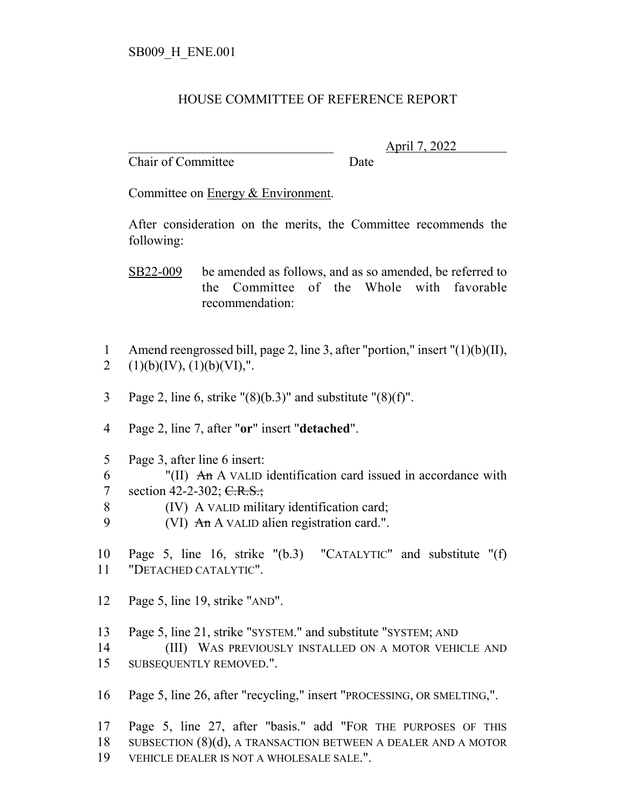## HOUSE COMMITTEE OF REFERENCE REPORT

Chair of Committee Date

\_\_\_\_\_\_\_\_\_\_\_\_\_\_\_\_\_\_\_\_\_\_\_\_\_\_\_\_\_\_\_ April 7, 2022

Committee on Energy & Environment.

After consideration on the merits, the Committee recommends the following:

SB22-009 be amended as follows, and as so amended, be referred to the Committee of the Whole with favorable recommendation:

- 1 Amend reengrossed bill, page 2, line 3, after "portion," insert "(1)(b)(II), 2  $(1)(b)(IV), (1)(b)(VI),".$
- 3 Page 2, line 6, strike  $\frac{1}{8}(6.3)$ " and substitute  $\frac{1}{8}(6.1)$ ".
- 4 Page 2, line 7, after "**or**" insert "**detached**".
- 5 Page 3, after line 6 insert:
- 6 "(II)  $\text{An A}$  VALID identification card issued in accordance with 7 section 42-2-302;  $C.R.S.,$
- 8 (IV) A VALID military identification card;
- 9  $(VI)$  An A VALID alien registration card.".
- 10 Page 5, line 16, strike "(b.3) "CATALYTIC" and substitute "(f) 11 "DETACHED CATALYTIC".
- 12 Page 5, line 19, strike "AND".
- 13 Page 5, line 21, strike "SYSTEM." and substitute "SYSTEM; AND

14 (III) WAS PREVIOUSLY INSTALLED ON A MOTOR VEHICLE AND 15 SUBSEQUENTLY REMOVED.".

16 Page 5, line 26, after "recycling," insert "PROCESSING, OR SMELTING,".

17 Page 5, line 27, after "basis." add "FOR THE PURPOSES OF THIS 18 SUBSECTION (8)(d), A TRANSACTION BETWEEN A DEALER AND A MOTOR 19 VEHICLE DEALER IS NOT A WHOLESALE SALE.".